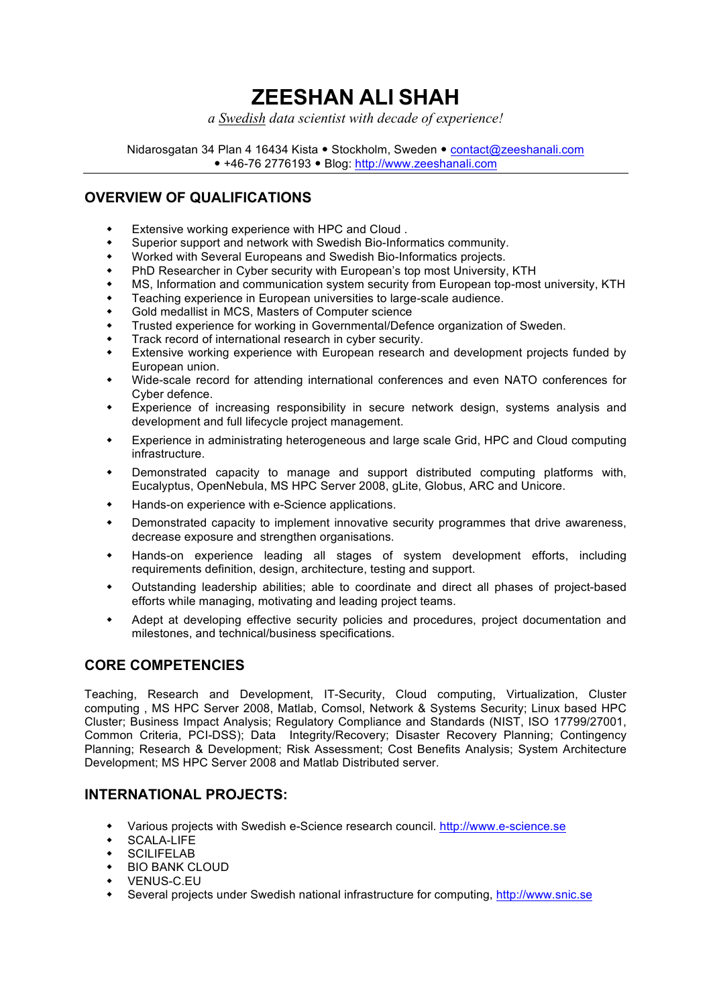# **ZEESHAN ALI SHAH**

*a Swedish data scientist with decade of experience!*

Nidarosgatan 34 Plan 4 16434 Kista · Stockholm, Sweden · contact@zeeshanali.com +46-76 2776193 Blog: http://www.zeeshanali.com

# **OVERVIEW OF QUALIFICATIONS**

- Extensive working experience with HPC and Cloud.
- Superior support and network with Swedish Bio-Informatics community.
- Worked with Several Europeans and Swedish Bio-Informatics projects.
- PhD Researcher in Cyber security with European's top most University, KTH
- w MS, Information and communication system security from European top-most university, KTH
- Teaching experience in European universities to large-scale audience.
- Gold medallist in MCS, Masters of Computer science
- Trusted experience for working in Governmental/Defence organization of Sweden.
- Track record of international research in cyber security.
- Extensive working experience with European research and development projects funded by European union.
- w Wide-scale record for attending international conferences and even NATO conferences for Cyber defence.
- Experience of increasing responsibility in secure network design, systems analysis and development and full lifecycle project management.
- Experience in administrating heterogeneous and large scale Grid, HPC and Cloud computing infrastructure.
- Demonstrated capacity to manage and support distributed computing platforms with, Eucalyptus, OpenNebula, MS HPC Server 2008, gLite, Globus, ARC and Unicore.
- Hands-on experience with e-Science applications.
- Demonstrated capacity to implement innovative security programmes that drive awareness, decrease exposure and strengthen organisations.
- Hands-on experience leading all stages of system development efforts, including requirements definition, design, architecture, testing and support.
- Outstanding leadership abilities; able to coordinate and direct all phases of project-based efforts while managing, motivating and leading project teams.
- Adept at developing effective security policies and procedures, project documentation and milestones, and technical/business specifications.

# **CORE COMPETENCIES**

Teaching, Research and Development, IT-Security, Cloud computing, Virtualization, Cluster computing , MS HPC Server 2008, Matlab, Comsol, Network & Systems Security; Linux based HPC Cluster; Business Impact Analysis; Regulatory Compliance and Standards (NIST, ISO 17799/27001, Common Criteria, PCI-DSS); Data Integrity/Recovery; Disaster Recovery Planning; Contingency Planning; Research & Development; Risk Assessment; Cost Benefits Analysis; System Architecture Development; MS HPC Server 2008 and Matlab Distributed server.

# **INTERNATIONAL PROJECTS:**

- Various projects with Swedish e-Science research council. http://www.e-science.se
- SCALA-LIFE
- $\overline{\phantom{a}}$  SCILIFELAB
- + BIO BANK CLOUD
- VENUS-C.EU
- w Several projects under Swedish national infrastructure for computing, http://www.snic.se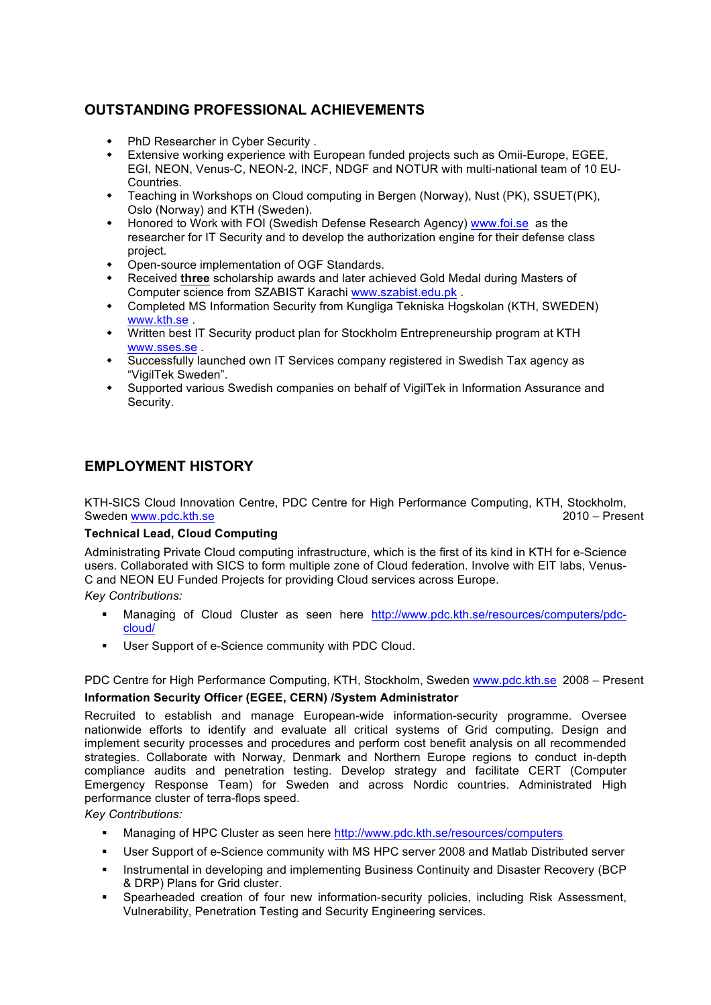# **OUTSTANDING PROFESSIONAL ACHIEVEMENTS**

- PhD Researcher in Cyber Security .
- \* Extensive working experience with European funded projects such as Omii-Europe, EGEE, EGI, NEON, Venus-C, NEON-2, INCF, NDGF and NOTUR with multi-national team of 10 EU-Countries.
- **EXECUTE:** Teaching in Workshops on Cloud computing in Bergen (Norway), Nust (PK), SSUET(PK), Oslo (Norway) and KTH (Sweden).
- Honored to Work with FOI (Swedish Defense Research Agency) www.foi.se as the researcher for IT Security and to develop the authorization engine for their defense class project.
- Open-source implementation of OGF Standards.
- Received **three** scholarship awards and later achieved Gold Medal during Masters of Computer science from SZABIST Karachi www.szabist.edu.pk .
- Completed MS Information Security from Kungliga Tekniska Hogskolan (KTH, SWEDEN) www.kth.se .
- Written best IT Security product plan for Stockholm Entrepreneurship program at KTH www.sses.se .
- \* Successfully launched own IT Services company registered in Swedish Tax agency as "VigilTek Sweden".
- Supported various Swedish companies on behalf of VigilTek in Information Assurance and Security.

# **EMPLOYMENT HISTORY**

KTH-SICS Cloud Innovation Centre, PDC Centre for High Performance Computing, KTH, Stockholm, Sweden www.pdc.kth.se 2010 – Present

#### **Technical Lead, Cloud Computing**

Administrating Private Cloud computing infrastructure, which is the first of its kind in KTH for e-Science users. Collaborated with SICS to form multiple zone of Cloud federation. Involve with EIT labs, Venus-C and NEON EU Funded Projects for providing Cloud services across Europe.

*Key Contributions:*

- § Managing of Cloud Cluster as seen here http://www.pdc.kth.se/resources/computers/pdccloud/
- User Support of e-Science community with PDC Cloud.

PDC Centre for High Performance Computing, KTH, Stockholm, Sweden www.pdc.kth.se 2008 - Present **Information Security Officer (EGEE, CERN) /System Administrator**

Recruited to establish and manage European-wide information-security programme. Oversee nationwide efforts to identify and evaluate all critical systems of Grid computing. Design and implement security processes and procedures and perform cost benefit analysis on all recommended strategies. Collaborate with Norway, Denmark and Northern Europe regions to conduct in-depth compliance audits and penetration testing. Develop strategy and facilitate CERT (Computer Emergency Response Team) for Sweden and across Nordic countries. Administrated High performance cluster of terra-flops speed.

*Key Contributions:*

- Managing of HPC Cluster as seen here http://www.pdc.kth.se/resources/computers
- § User Support of e-Science community with MS HPC server 2008 and Matlab Distributed server
- Instrumental in developing and implementing Business Continuity and Disaster Recovery (BCP) & DRP) Plans for Grid cluster.
- § Spearheaded creation of four new information-security policies, including Risk Assessment, Vulnerability, Penetration Testing and Security Engineering services.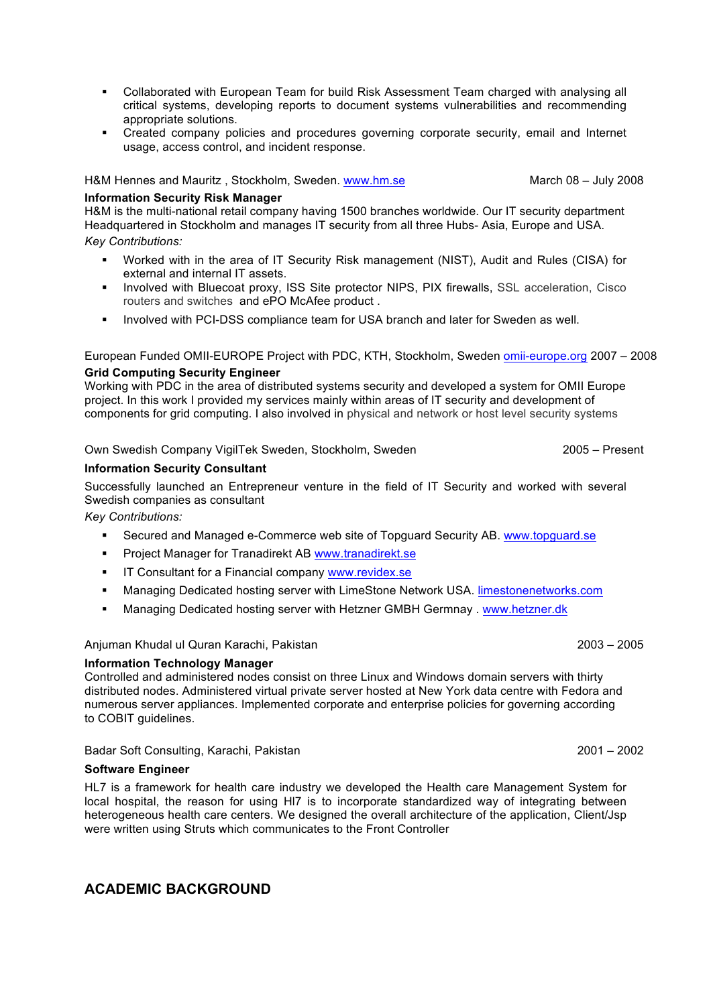- § Collaborated with European Team for build Risk Assessment Team charged with analysing all critical systems, developing reports to document systems vulnerabilities and recommending appropriate solutions.
- § Created company policies and procedures governing corporate security, email and Internet usage, access control, and incident response.

H&M Hennes and Mauritz , Stockholm, Sweden. www.hm.se March 08 – July 2008

#### **Information Security Risk Manager**

H&M is the multi-national retail company having 1500 branches worldwide. Our IT security department Headquartered in Stockholm and manages IT security from all three Hubs- Asia, Europe and USA.

*Key Contributions:*

- § Worked with in the area of IT Security Risk management (NIST), Audit and Rules (CISA) for external and internal IT assets.
- § Involved with Bluecoat proxy, ISS Site protector NIPS, PIX firewalls, SSL acceleration, Cisco routers and switches and ePO McAfee product .
- Involved with PCI-DSS compliance team for USA branch and later for Sweden as well.

European Funded OMII-EUROPE Project with PDC, KTH, Stockholm, Sweden omii-europe.org 2007 – 2008 **Grid Computing Security Engineer**

Working with PDC in the area of distributed systems security and developed a system for OMII Europe project. In this work I provided my services mainly within areas of IT security and development of components for grid computing. I also involved in physical and network or host level security systems

#### Own Swedish Company VigilTek Sweden, Stockholm, Sweden 2005 – Present

#### **Information Security Consultant**

Successfully launched an Entrepreneur venture in the field of IT Security and worked with several Swedish companies as consultant

*Key Contributions:*

- § Secured and Managed e-Commerce web site of Topguard Security AB. www.topguard.se
- § Project Manager for Tranadirekt AB www.tranadirekt.se
- **IT Consultant for a Financial company www.revidex.se**
- § Managing Dedicated hosting server with LimeStone Network USA. limestonenetworks.com
- § Managing Dedicated hosting server with Hetzner GMBH Germnay . www.hetzner.dk

Anjuman Khudal ul Quran Karachi, Pakistan 2003 – 2005

#### **Information Technology Manager**

Controlled and administered nodes consist on three Linux and Windows domain servers with thirty distributed nodes. Administered virtual private server hosted at New York data centre with Fedora and numerous server appliances. Implemented corporate and enterprise policies for governing according to COBIT guidelines.

Badar Soft Consulting, Karachi, Pakistan 2001 – 2002

#### **Software Engineer**

HL7 is a framework for health care industry we developed the Health care Management System for local hospital, the reason for using Hl7 is to incorporate standardized way of integrating between heterogeneous health care centers. We designed the overall architecture of the application, Client/Jsp were written using Struts which communicates to the Front Controller

# **ACADEMIC BACKGROUND**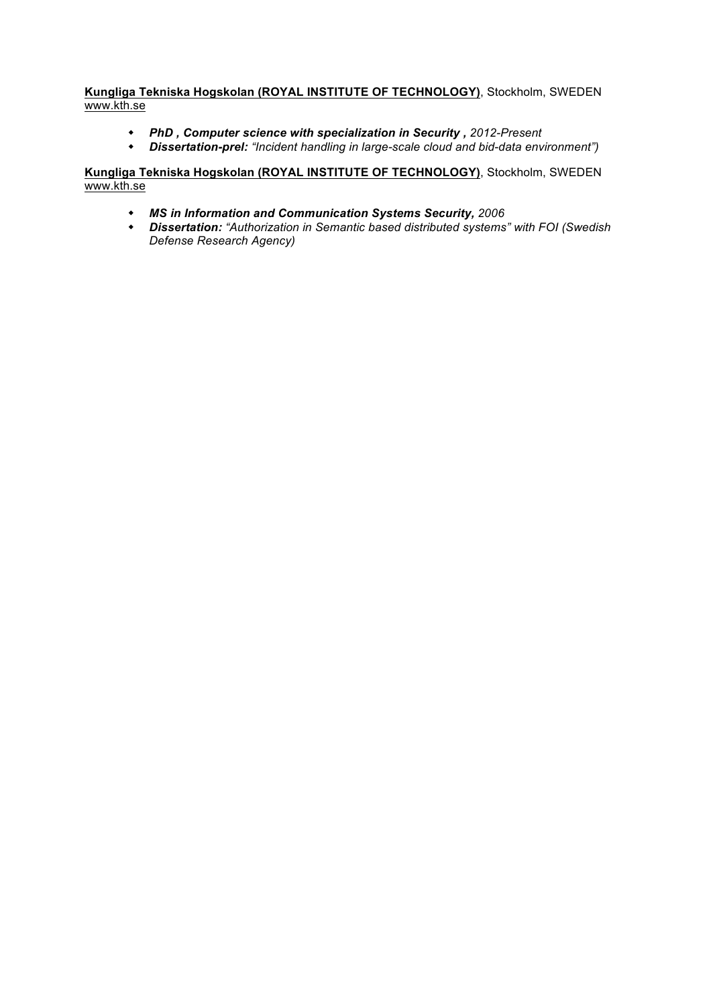**Kungliga Tekniska Hogskolan (ROYAL INSTITUTE OF TECHNOLOGY)**, Stockholm, SWEDEN www.kth.se

- w *PhD , Computer science with specialization in Security , 2012-Present*
- w *Dissertation-prel: "Incident handling in large-scale cloud and bid-data environment")*

#### **Kungliga Tekniska Hogskolan (ROYAL INSTITUTE OF TECHNOLOGY)**, Stockholm, SWEDEN www.kth.se

- w *MS in Information and Communication Systems Security, 2006*
- w *Dissertation: "Authorization in Semantic based distributed systems" with FOI (Swedish Defense Research Agency)*